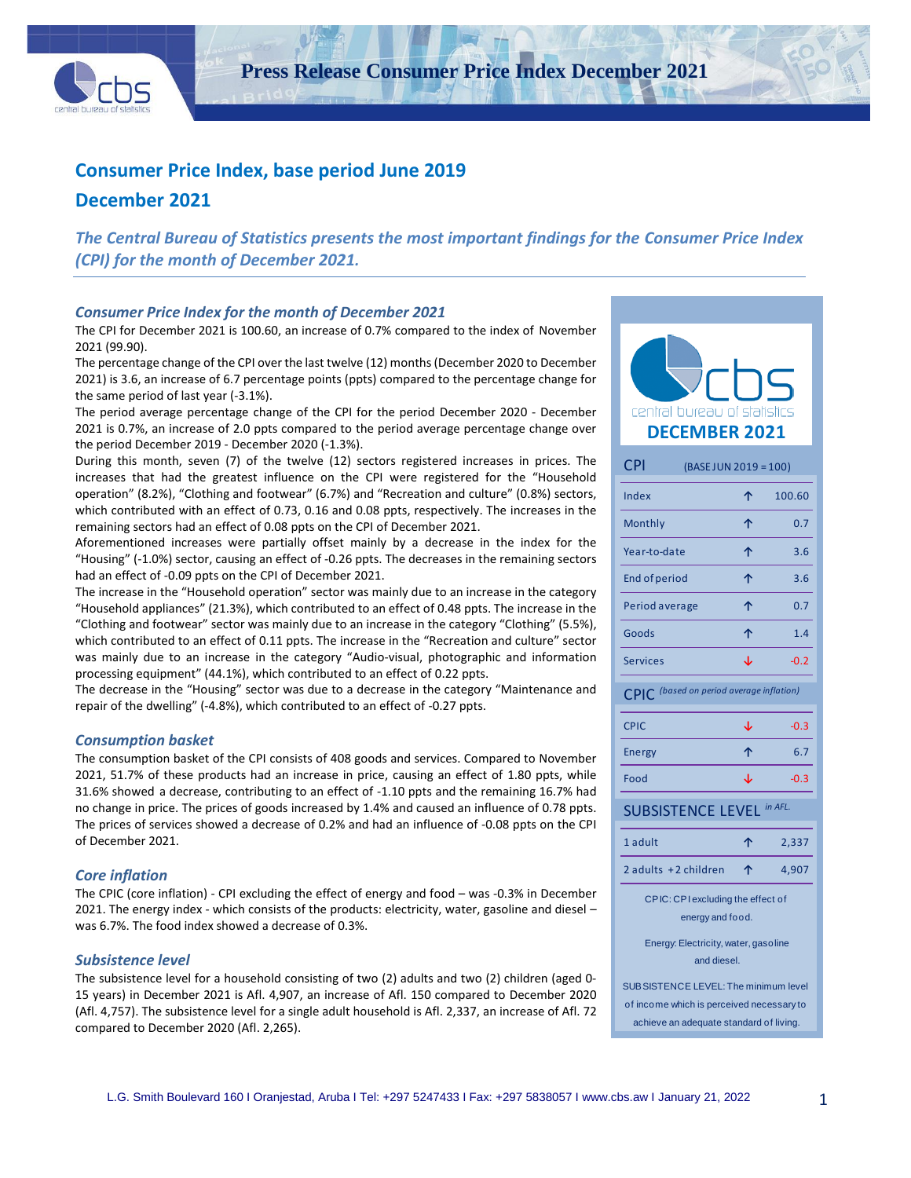

**Press Release Consumer Price Index December 2021**

# **Consumer Price Index, base period June 2019**

# **December 2021**

*The Central Bureau of Statistics presents the most important findings for the Consumer Price Index (CPI) for the month of December 2021.*

## *Consumer Price Index for the month of December 2021*

The CPI for December 2021 is 100.60, an increase of 0.7% compared to the index of November 2021 (99.90).

The percentage change of the CPI over the last twelve (12) months (December 2020 to December 2021) is 3.6, an increase of 6.7 percentage points (ppts) compared to the percentage change for the same period of last year (-3.1%).

The period average percentage change of the CPI for the period December 2020 - December 2021 is 0.7%, an increase of 2.0 ppts compared to the period average percentage change over the period December 2019 - December 2020 (-1.3%).

During this month, seven (7) of the twelve (12) sectors registered increases in prices. The increases that had the greatest influence on the CPI were registered for the "Household operation" (8.2%), "Clothing and footwear" (6.7%) and "Recreation and culture" (0.8%) sectors, which contributed with an effect of 0.73, 0.16 and 0.08 ppts, respectively. The increases in the remaining sectors had an effect of 0.08 ppts on the CPI of December 2021.

Aforementioned increases were partially offset mainly by a decrease in the index for the "Housing" (-1.0%) sector, causing an effect of -0.26 ppts. The decreases in the remaining sectors had an effect of -0.09 ppts on the CPI of December 2021.

The increase in the "Household operation" sector was mainly due to an increase in the category "Household appliances" (21.3%), which contributed to an effect of 0.48 ppts. The increase in the "Clothing and footwear" sector was mainly due to an increase in the category "Clothing" (5.5%), which contributed to an effect of 0.11 ppts. The increase in the "Recreation and culture" sector was mainly due to an increase in the category "Audio-visual, photographic and information processing equipment" (44.1%), which contributed to an effect of 0.22 ppts.

The decrease in the "Housing" sector was due to a decrease in the category "Maintenance and repair of the dwelling" (-4.8%), which contributed to an effect of -0.27 ppts.

#### *Consumption basket*

The consumption basket of the CPI consists of 408 goods and services. Compared to November 2021, 51.7% of these products had an increase in price, causing an effect of 1.80 ppts, while 31.6% showed a decrease, contributing to an effect of -1.10 ppts and the remaining 16.7% had no change in price. The prices of goods increased by 1.4% and caused an influence of 0.78 ppts. The prices of services showed a decrease of 0.2% and had an influence of -0.08 ppts on the CPI of December 2021.

## *Core inflation*

The CPIC (core inflation) - CPI excluding the effect of energy and food – was -0.3% in December 2021. The energy index - which consists of the products: electricity, water, gasoline and diesel – was 6.7%. The food index showed a decrease of 0.3%.

## *Subsistence level*

The subsistence level for a household consisting of two (2) adults and two (2) children (aged 0- 15 years) in December 2021 is Afl. 4,907, an increase of Afl. 150 compared to December 2020 (Afl. 4,757). The subsistence level for a single adult household is Afl. 2,337, an increase of Afl. 72 compared to December 2020 (Afl. 2,265).

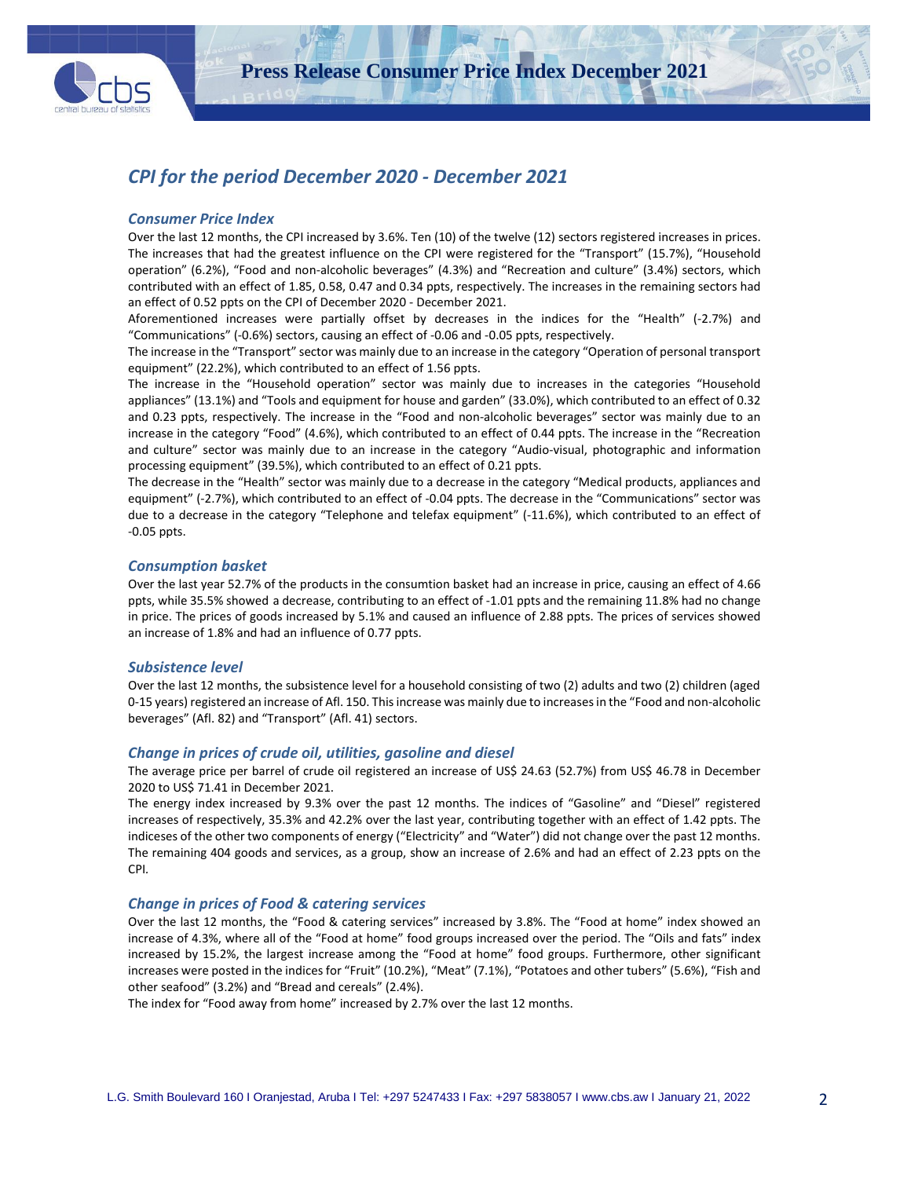

# *CPI for the period December 2020 - December 2021*

#### *Consumer Price Index*

Over the last 12 months, the CPI increased by 3.6%. Ten (10) of the twelve (12) sectors registered increases in prices. The increases that had the greatest influence on the CPI were registered for the "Transport" (15.7%), "Household operation" (6.2%), "Food and non-alcoholic beverages" (4.3%) and "Recreation and culture" (3.4%) sectors, which contributed with an effect of 1.85, 0.58, 0.47 and 0.34 ppts, respectively. The increases in the remaining sectors had an effect of 0.52 ppts on the CPI of December 2020 - December 2021.

Aforementioned increases were partially offset by decreases in the indices for the "Health" (-2.7%) and "Communications" (-0.6%) sectors, causing an effect of -0.06 and -0.05 ppts, respectively.

The increase in the "Transport" sector was mainly due to an increase in the category "Operation of personal transport equipment" (22.2%), which contributed to an effect of 1.56 ppts.

The increase in the "Household operation" sector was mainly due to increases in the categories "Household appliances" (13.1%) and "Tools and equipment for house and garden" (33.0%), which contributed to an effect of 0.32 and 0.23 ppts, respectively. The increase in the "Food and non-alcoholic beverages" sector was mainly due to an increase in the category "Food" (4.6%), which contributed to an effect of 0.44 ppts. The increase in the "Recreation and culture" sector was mainly due to an increase in the category "Audio-visual, photographic and information processing equipment" (39.5%), which contributed to an effect of 0.21 ppts.

The decrease in the "Health" sector was mainly due to a decrease in the category "Medical products, appliances and equipment" (-2.7%), which contributed to an effect of -0.04 ppts. The decrease in the "Communications" sector was due to a decrease in the category "Telephone and telefax equipment" (-11.6%), which contributed to an effect of -0.05 ppts.

#### *Consumption basket*

Over the last year 52.7% of the products in the consumtion basket had an increase in price, causing an effect of 4.66 ppts, while 35.5% showed a decrease, contributing to an effect of -1.01 ppts and the remaining 11.8% had no change in price. The prices of goods increased by 5.1% and caused an influence of 2.88 ppts. The prices of services showed an increase of 1.8% and had an influence of 0.77 ppts.

#### *Subsistence level*

Over the last 12 months, the subsistence level for a household consisting of two (2) adults and two (2) children (aged 0-15 years) registered an increase of Afl. 150. Thisincrease was mainly due to increases in the "Food and non-alcoholic beverages" (Afl. 82) and "Transport" (Afl. 41) sectors.

#### *Change in prices of crude oil, utilities, gasoline and diesel*

The average price per barrel of crude oil registered an increase of US\$ 24.63 (52.7%) from US\$ 46.78 in December 2020 to US\$ 71.41 in December 2021.

The energy index increased by 9.3% over the past 12 months. The indices of "Gasoline" and "Diesel" registered increases of respectively, 35.3% and 42.2% over the last year, contributing together with an effect of 1.42 ppts. The indiceses of the other two components of energy ("Electricity" and "Water") did not change over the past 12 months. The remaining 404 goods and services, as a group, show an increase of 2.6% and had an effect of 2.23 ppts on the CPI*.*

#### *Change in prices of Food & catering services*

Over the last 12 months, the "Food & catering services" increased by 3.8%. The "Food at home" index showed an increase of 4.3%, where all of the "Food at home" food groups increased over the period. The "Oils and fats" index increased by 15.2%, the largest increase among the "Food at home" food groups. Furthermore, other significant increases were posted in the indices for "Fruit" (10.2%), "Meat" (7.1%), "Potatoes and other tubers" (5.6%), "Fish and other seafood" (3.2%) and "Bread and cereals" (2.4%).

The index for "Food away from home" increased by 2.7% over the last 12 months.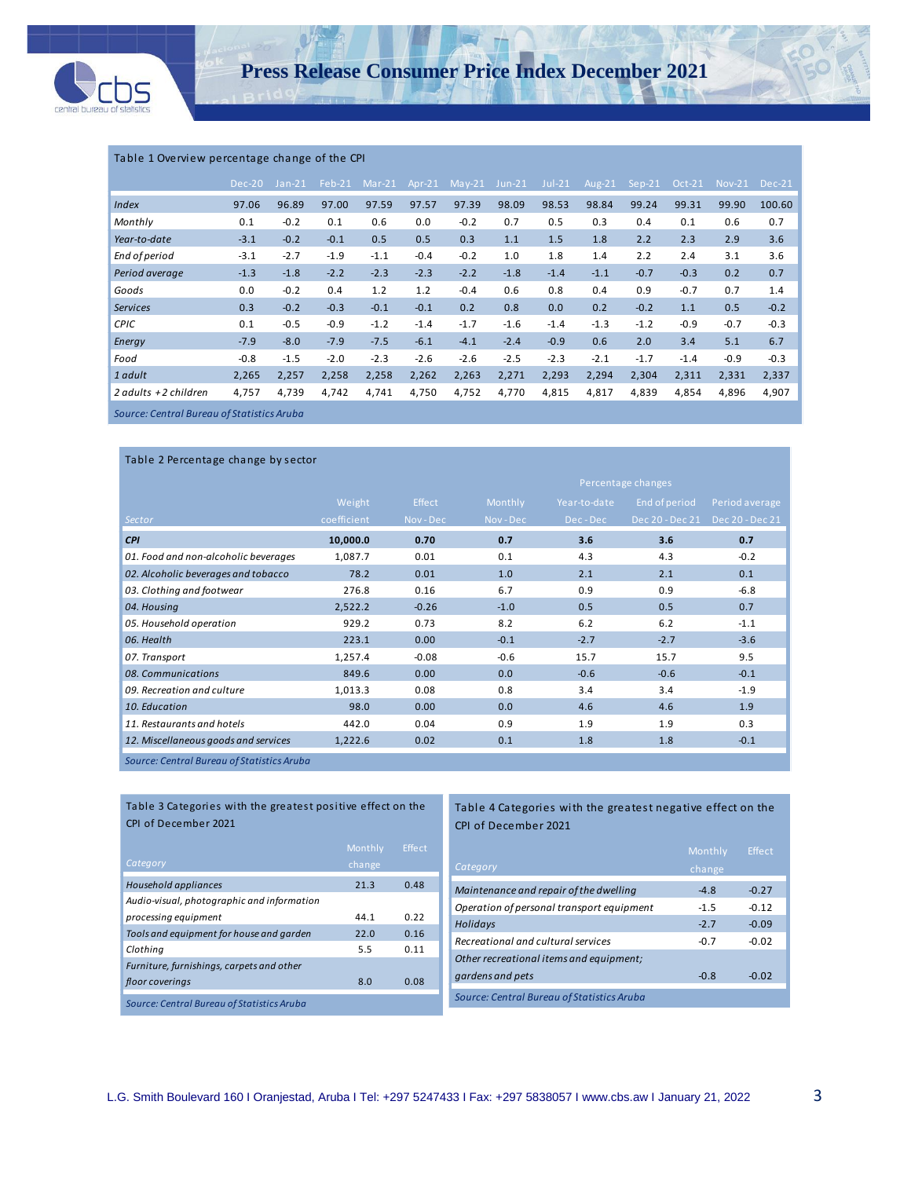

### Table 1 Overview percentage change of the CPI

|                        | Dec-20 | $Jan-21$ | $Feb-21$ | $Mar-21$ | Apr- $21$ | $May-21$ | $Jun-21$ | $Jul-21$ | Aug-21 | $Sep-21$ | <b>Oct-21</b> | <b>Nov-21</b> | $Dec-21$ |
|------------------------|--------|----------|----------|----------|-----------|----------|----------|----------|--------|----------|---------------|---------------|----------|
| Index                  | 97.06  | 96.89    | 97.00    | 97.59    | 97.57     | 97.39    | 98.09    | 98.53    | 98.84  | 99.24    | 99.31         | 99.90         | 100.60   |
| Monthly                | 0.1    | $-0.2$   | 0.1      | 0.6      | 0.0       | $-0.2$   | 0.7      | 0.5      | 0.3    | 0.4      | 0.1           | 0.6           | 0.7      |
| Year-to-date           | $-3.1$ | $-0.2$   | $-0.1$   | 0.5      | 0.5       | 0.3      | 1.1      | 1.5      | 1.8    | 2.2      | 2.3           | 2.9           | 3.6      |
| End of period          | $-3.1$ | $-2.7$   | $-1.9$   | $-1.1$   | $-0.4$    | $-0.2$   | 1.0      | 1.8      | 1.4    | 2.2      | 2.4           | 3.1           | 3.6      |
| Period average         | $-1.3$ | $-1.8$   | $-2.2$   | $-2.3$   | $-2.3$    | $-2.2$   | $-1.8$   | $-1.4$   | $-1.1$ | $-0.7$   | $-0.3$        | 0.2           | 0.7      |
| Goods                  | 0.0    | $-0.2$   | 0.4      | 1.2      | 1.2       | $-0.4$   | 0.6      | 0.8      | 0.4    | 0.9      | $-0.7$        | 0.7           | 1.4      |
| <b>Services</b>        | 0.3    | $-0.2$   | $-0.3$   | $-0.1$   | $-0.1$    | 0.2      | 0.8      | 0.0      | 0.2    | $-0.2$   | 1.1           | 0.5           | $-0.2$   |
| <b>CPIC</b>            | 0.1    | $-0.5$   | $-0.9$   | $-1.2$   | $-1.4$    | $-1.7$   | $-1.6$   | $-1.4$   | $-1.3$ | $-1.2$   | $-0.9$        | $-0.7$        | $-0.3$   |
| Energy                 | $-7.9$ | $-8.0$   | $-7.9$   | $-7.5$   | $-6.1$    | $-4.1$   | $-2.4$   | $-0.9$   | 0.6    | 2.0      | 3.4           | 5.1           | 6.7      |
| Food                   | $-0.8$ | $-1.5$   | $-2.0$   | $-2.3$   | $-2.6$    | $-2.6$   | $-2.5$   | $-2.3$   | $-2.1$ | $-1.7$   | $-1.4$        | $-0.9$        | $-0.3$   |
| 1 adult                | 2,265  | 2,257    | 2,258    | 2,258    | 2,262     | 2,263    | 2,271    | 2,293    | 2,294  | 2,304    | 2,311         | 2,331         | 2,337    |
| 2 adults $+2$ children | 4,757  | 4,739    | 4,742    | 4,741    | 4,750     | 4,752    | 4,770    | 4,815    | 4,817  | 4,839    | 4,854         | 4,896         | 4,907    |
|                        |        |          |          |          |           |          |          |          |        |          |               |               |          |

*Source: Central Bureau of Statistics Aruba*

| Table 2 Percentage change by sector        |             |               |         |                    |                 |                 |  |  |  |
|--------------------------------------------|-------------|---------------|---------|--------------------|-----------------|-----------------|--|--|--|
|                                            |             |               |         | Percentage changes |                 |                 |  |  |  |
|                                            | Weight      | <b>Effect</b> | Monthly | Year-to-date       | End of period   | Period average  |  |  |  |
| Sector                                     | coefficient | Nov-Dec       | Nov-Dec | Dec-Dec            | Dec 20 - Dec 21 | Dec 20 - Dec 21 |  |  |  |
| <b>CPI</b>                                 | 10,000.0    | 0.70          | 0.7     | 3.6                | 3.6             | 0.7             |  |  |  |
| 01. Food and non-alcoholic beverages       | 1,087.7     | 0.01          | 0.1     | 4.3                | 4.3             | $-0.2$          |  |  |  |
| 02. Alcoholic beverages and tobacco        | 78.2        | 0.01          | 1.0     | 2.1                | 2.1             | 0.1             |  |  |  |
| 03. Clothing and footwear                  | 276.8       | 0.16          | 6.7     | 0.9                | 0.9             | $-6.8$          |  |  |  |
| 04. Housing                                | 2,522.2     | $-0.26$       | $-1.0$  | 0.5                | 0.5             | 0.7             |  |  |  |
| 05. Household operation                    | 929.2       | 0.73          | 8.2     | 6.2                | 6.2             | $-1.1$          |  |  |  |
| 06. Health                                 | 223.1       | 0.00          | $-0.1$  | $-2.7$             | $-2.7$          | $-3.6$          |  |  |  |
| 07. Transport                              | 1,257.4     | $-0.08$       | $-0.6$  | 15.7               | 15.7            | 9.5             |  |  |  |
| 08. Communications                         | 849.6       | 0.00          | 0.0     | $-0.6$             | $-0.6$          | $-0.1$          |  |  |  |
| 09. Recreation and culture                 | 1,013.3     | 0.08          | 0.8     | 3.4                | 3.4             | $-1.9$          |  |  |  |
| 10. Education                              | 98.0        | 0.00          | 0.0     | 4.6                | 4.6             | 1.9             |  |  |  |
| 11. Restaurants and hotels                 | 442.0       | 0.04          | 0.9     | 1.9                | 1.9             | 0.3             |  |  |  |
| 12. Miscellaneous goods and services       | 1,222.6     | 0.02          | 0.1     | 1.8                | 1.8             | $-0.1$          |  |  |  |
| Source: Central Bureau of Statistics Aruba |             |               |         |                    |                 |                 |  |  |  |

Table 3 Categories with the greatest positive effect on the CPI of December 2021

|                                            | Monthly | Effect |
|--------------------------------------------|---------|--------|
| Category                                   | change  |        |
| Household appliances                       | 21.3    | 0.48   |
| Audio-visual, photographic and information |         |        |
| processing equipment                       | 44 1    | 0.22   |
| Tools and equipment for house and garden   | 22.0    | 0.16   |
| Clothing                                   | 5.5     | 0.11   |
| Furniture, furnishings, carpets and other  |         |        |
| floor coverings                            | 8.0     | 0.08   |
| Source: Central Bureau of Statistics Aruba |         |        |

Table 4 Categories with the greatest negative effect on the CPI of December 2021

|                                            | Monthly | Effect  |
|--------------------------------------------|---------|---------|
| Category                                   | change  |         |
| Maintenance and repair of the dwelling     | $-4.8$  | $-0.27$ |
| Operation of personal transport equipment  | $-1.5$  | $-0.12$ |
| Holidays                                   | $-2.7$  | $-0.09$ |
| Recreational and cultural services         | $-0.7$  | $-0.02$ |
| Other recreational items and equipment;    |         |         |
| gardens and pets                           | $-0.8$  | $-0.02$ |
| Source: Central Bureau of Statistics Aruba |         |         |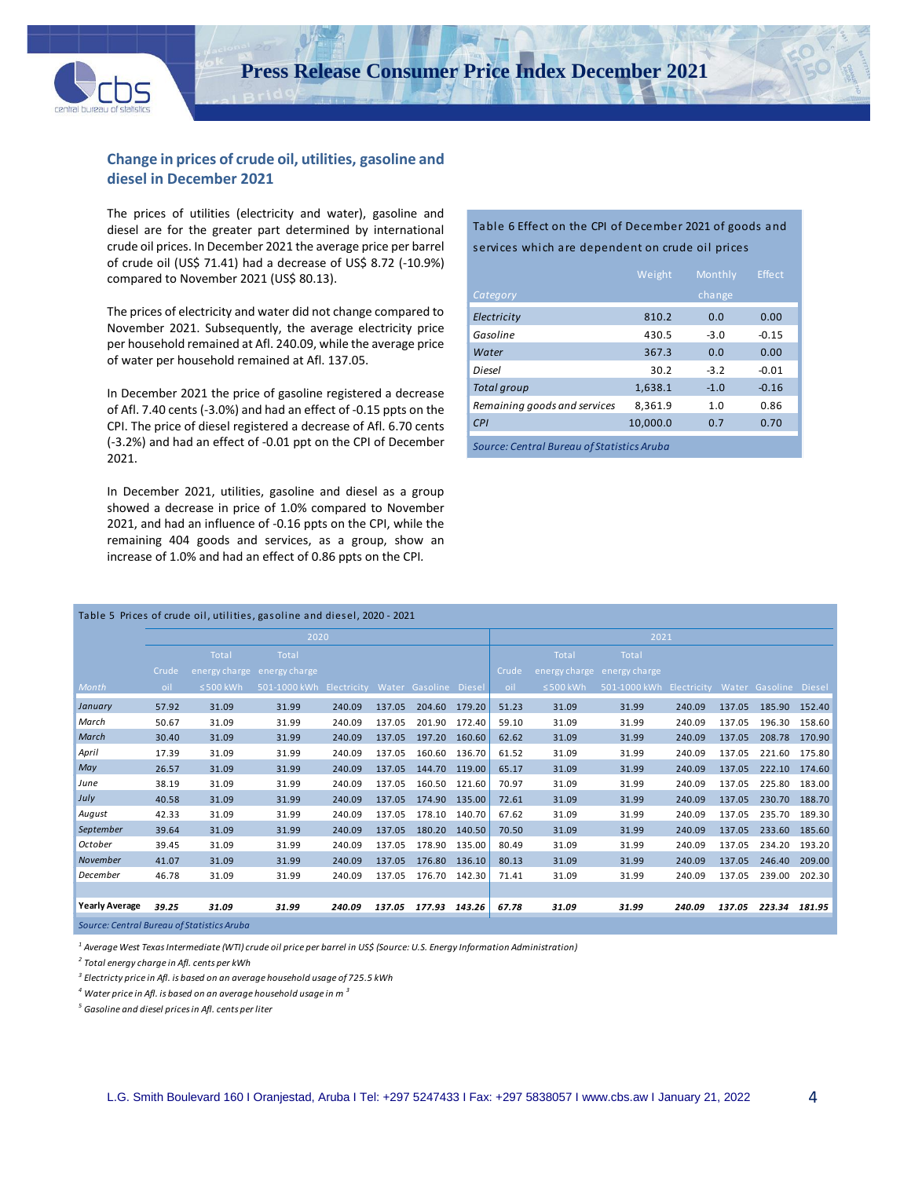

# **Change in prices of crude oil, utilities, gasoline and diesel in December 2021**

The prices of utilities (electricity and water), gasoline and diesel are for the greater part determined by international crude oil prices. In December 2021 the average price per barrel of crude oil (US\$ 71.41) had a decrease of US\$ 8.72 (-10.9%) compared to November 2021 (US\$ 80.13).

The prices of electricity and water did not change compared to November 2021. Subsequently, the average electricity price per household remained at Afl. 240.09, while the average price of water per household remained at Afl. 137.05.

In December 2021 the price of gasoline registered a decrease of Afl. 7.40 cents (-3.0%) and had an effect of -0.15 ppts on the CPI. The price of diesel registered a decrease of Afl. 6.70 cents (-3.2%) and had an effect of -0.01 ppt on the CPI of December 2021.

In December 2021, utilities, gasoline and diesel as a group showed a decrease in price of 1.0% compared to November 2021, and had an influence of -0.16 ppts on the CPI, while the remaining 404 goods and services, as a group, show an increase of 1.0% and had an effect of 0.86 ppts on the CPI*.*

## Table 6 Effect on the CPI of December 2021 of goods and services which are dependent on crude oil prices

|                                            | Weight   | Monthly | <b>Effect</b> |  |  |  |  |
|--------------------------------------------|----------|---------|---------------|--|--|--|--|
| Category                                   |          | change  |               |  |  |  |  |
| Electricity                                | 810.2    | 0.0     | 0.00          |  |  |  |  |
| Gasoline                                   | 430.5    | $-3.0$  | $-0.15$       |  |  |  |  |
| Water                                      | 367.3    | 0.0     | 0.00          |  |  |  |  |
| Diesel                                     | 30.2     | $-3.2$  | $-0.01$       |  |  |  |  |
| <b>Total group</b>                         | 1.638.1  | $-1.0$  | $-0.16$       |  |  |  |  |
| Remaining goods and services               | 8.361.9  | 1.0     | 0.86          |  |  |  |  |
| CPI                                        | 10.000.0 | 0.7     | 0.70          |  |  |  |  |
| Source: Central Bureau of Statistics Aruba |          |         |               |  |  |  |  |

|                       | Table 5 Prices of crude oil, utilities, gasoline and diesel, 2020 - 2021 |                |                             |                                   |        |               |        |       |                |               |                                   |        |               |        |
|-----------------------|--------------------------------------------------------------------------|----------------|-----------------------------|-----------------------------------|--------|---------------|--------|-------|----------------|---------------|-----------------------------------|--------|---------------|--------|
|                       |                                                                          |                | 2020                        |                                   |        |               |        | 2021  |                |               |                                   |        |               |        |
|                       |                                                                          | Total          | Total                       |                                   |        |               |        |       | Total          | Total         |                                   |        |               |        |
|                       | Crude                                                                    |                | energy charge energy charge |                                   |        |               |        | Crude | energy charge  | energy charge |                                   |        |               |        |
| Month                 | oil                                                                      | $\leq$ 500 kWh | 501-1000 kWh                | Electricity Water Gasoline Diesel |        |               |        | oil   | $\leq$ 500 kWh | 501-1000 kWh  | Electricity Water Gasoline Diesel |        |               |        |
| January               | 57.92                                                                    | 31.09          | 31.99                       | 240.09                            | 137.05 | 204.60        | 179.20 | 51.23 | 31.09          | 31.99         | 240.09                            | 137.05 | 185.90        | 152.40 |
| March                 | 50.67                                                                    | 31.09          | 31.99                       | 240.09                            | 137.05 | 201.90        | 172.40 | 59.10 | 31.09          | 31.99         | 240.09                            | 137.05 | 196.30        | 158.60 |
| March                 | 30.40                                                                    | 31.09          | 31.99                       | 240.09                            | 137.05 | 197.20        | 160.60 | 62.62 | 31.09          | 31.99         | 240.09                            | 137.05 | 208.78        | 170.90 |
| April                 | 17.39                                                                    | 31.09          | 31.99                       | 240.09                            | 137.05 | 160.60        | 136.70 | 61.52 | 31.09          | 31.99         | 240.09                            | 137.05 | 221.60 175.80 |        |
| May                   | 26.57                                                                    | 31.09          | 31.99                       | 240.09                            | 137.05 | 144.70 119.00 |        | 65.17 | 31.09          | 31.99         | 240.09                            | 137.05 | 222.10 174.60 |        |
| June                  | 38.19                                                                    | 31.09          | 31.99                       | 240.09                            | 137.05 | 160.50        | 121.60 | 70.97 | 31.09          | 31.99         | 240.09                            | 137.05 | 225.80        | 183.00 |
| July                  | 40.58                                                                    | 31.09          | 31.99                       | 240.09                            | 137.05 | 174.90        | 135.00 | 72.61 | 31.09          | 31.99         | 240.09                            | 137.05 | 230.70        | 188.70 |
| August                | 42.33                                                                    | 31.09          | 31.99                       | 240.09                            | 137.05 | 178.10        | 140.70 | 67.62 | 31.09          | 31.99         | 240.09                            | 137.05 | 235.70        | 189.30 |
| September             | 39.64                                                                    | 31.09          | 31.99                       | 240.09                            | 137.05 | 180.20        | 140.50 | 70.50 | 31.09          | 31.99         | 240.09                            | 137.05 | 233.60 185.60 |        |
| October               | 39.45                                                                    | 31.09          | 31.99                       | 240.09                            | 137.05 | 178.90        | 135.00 | 80.49 | 31.09          | 31.99         | 240.09                            | 137.05 | 234.20 193.20 |        |
| November              | 41.07                                                                    | 31.09          | 31.99                       | 240.09                            | 137.05 | 176.80        | 136.10 | 80.13 | 31.09          | 31.99         | 240.09                            | 137.05 | 246.40        | 209.00 |
| December              | 46.78                                                                    | 31.09          | 31.99                       | 240.09                            | 137.05 | 176.70        | 142.30 | 71.41 | 31.09          | 31.99         | 240.09                            | 137.05 | 239.00        | 202.30 |
|                       |                                                                          |                |                             |                                   |        |               |        |       |                |               |                                   |        |               |        |
| <b>Yearly Average</b> | 39.25                                                                    | 31.09          | 31.99                       | 240.09                            | 137.05 | 177.93        | 143.26 | 67.78 | 31.09          | 31.99         | 240.09                            | 137.05 | 223.34        | 181.95 |

*Source: Central Bureau of Statistics Aruba*

*<sup>1</sup> Average West Texas Intermediate (WTI) crude oil price per barrel in US\$ (Source: U.S. Energy Information Administration)*

*2 Total energy charge in Afl. cents per kWh* 

*3 Electricty price in Afl. is based on an average household usage of 725.5 kWh*

*<sup>4</sup> Water price in Afl. is based on an average household usage in m <sup>3</sup>*

*<sup>5</sup> Gasoline and diesel prices in Afl. cents per liter*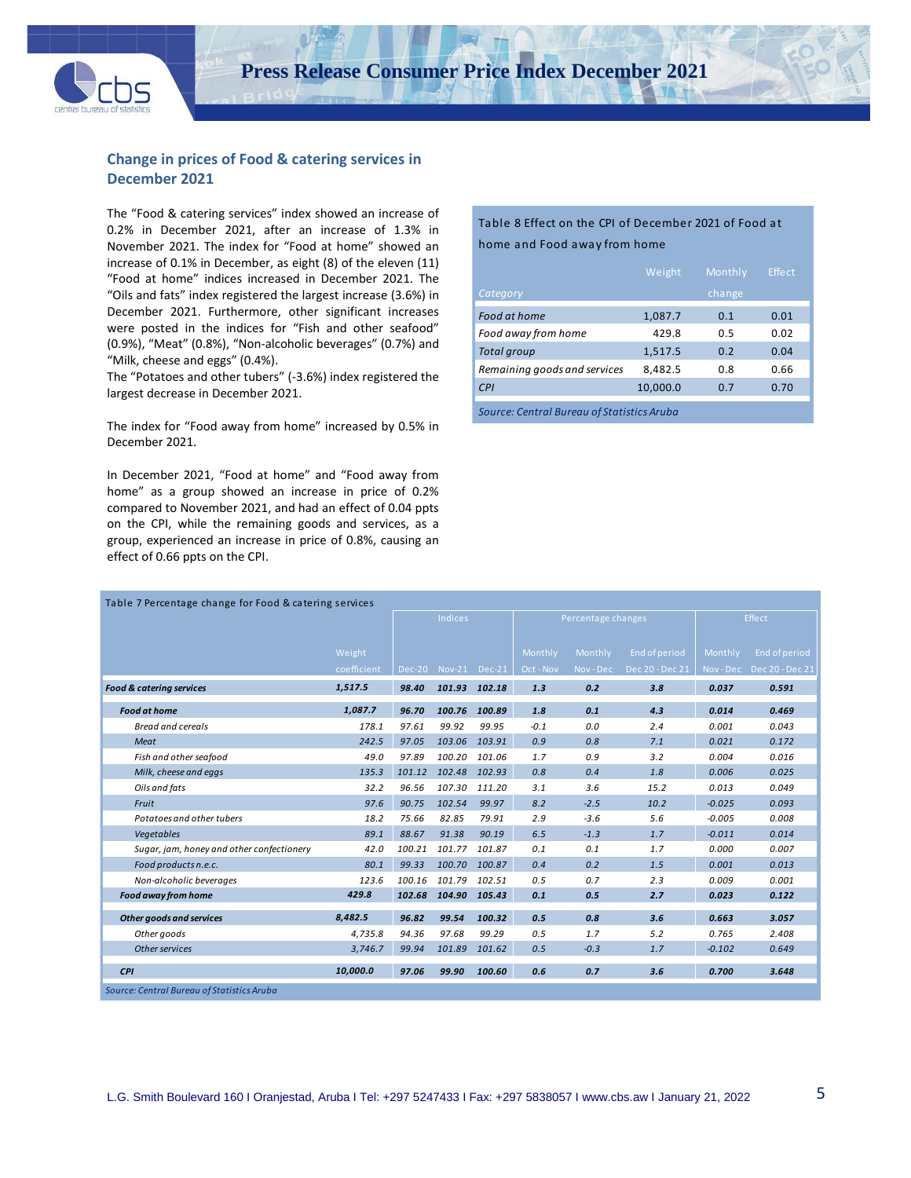

## **Change in prices of Food & catering services in December 2021**

The "Food & catering services" index showed an increase of 0.2% in December 2021, after an increase of 1.3% in November 2021. The index for "Food at home" showed an increase of 0.1% in December, as eight (8) of the eleven (11) "Food at home" indices increased in December 2021. The "Oils and fats" index registered the largest increase (3.6%) in December 2021. Furthermore, other significant increases were posted in the indices for "Fish and other seafood" (0.9%), "Meat" (0.8%), "Non-alcoholic beverages" (0.7%) and "Milk, cheese and eggs" (0.4%).

The "Potatoes and other tubers" (-3.6%) index registered the largest decrease in December 2021.

The index for "Food away from home" increased by 0.5% in December 2021.

In December 2021, "Food at home" and "Food away from home" as a group showed an increase in price of 0.2% compared to November 2021, and had an effect of 0.04 ppts on the CPI, while the remaining goods and services, as a group, experienced an increase in price of 0.8%, causing an effect of 0.66 ppts on the CPI.

## Table 8 Effect on the CPI of December 2021 of Food at home and Food away from home

|                                            | Weight   | Monthly | Effect |  |  |  |  |
|--------------------------------------------|----------|---------|--------|--|--|--|--|
| Category                                   |          | change  |        |  |  |  |  |
| Food at home                               | 1,087.7  | 0.1     | 0.01   |  |  |  |  |
| Food away from home                        | 429.8    | 0.5     | 0.02   |  |  |  |  |
| <b>Total group</b>                         | 1,517.5  | 0.2     | 0.04   |  |  |  |  |
| Remaining goods and services               | 8.482.5  | 0.8     | 0.66   |  |  |  |  |
| CPI                                        | 10,000.0 | 0.7     | 0.70   |  |  |  |  |
| Source: Central Bureau of Statistics Aruba |          |         |        |  |  |  |  |

| Table 7 Percentage change for Food & catering services |             |        |                |               |           |                    |                 |          |                       |  |
|--------------------------------------------------------|-------------|--------|----------------|---------------|-----------|--------------------|-----------------|----------|-----------------------|--|
|                                                        |             |        | <b>Indices</b> |               |           | Percentage changes |                 |          | Effect                |  |
|                                                        |             |        |                |               |           |                    |                 |          |                       |  |
|                                                        | Weight      |        |                |               | Monthly   | Monthly            | End of period   | Monthly  | End of period         |  |
|                                                        | coefficient | Dec-20 |                | Nov-21 Dec-21 | Oct - Nov | Nov-Dec            | Dec 20 - Dec 21 |          | Nov-Dec Dec 20-Dec 21 |  |
| <b>Food &amp; catering services</b>                    | 1,517.5     | 98.40  |                | 101.93 102.18 | 1.3       | 0.2                | 3.8             | 0.037    | 0.591                 |  |
| <b>Food at home</b>                                    | 1,087.7     | 96.70  |                | 100.76 100.89 | 1.8       | 0.1                | 4.3             | 0.014    | 0.469                 |  |
| <b>Bread and cereals</b>                               | 178.1       | 97.61  | 99.92          | 99.95         | $-0.1$    | 0.0                | 2.4             | 0.001    | 0.043                 |  |
| Meat                                                   | 242.5       | 97.05  | 103.06         | 103.91        | 0.9       | 0.8                | 7.1             | 0.021    | 0.172                 |  |
| Fish and other seafood                                 | 49.0        | 97.89  | 100.20         | 101.06        | 1.7       | 0.9                | 3.2             | 0.004    | 0.016                 |  |
| Milk, cheese and eggs                                  | 135.3       | 101.12 | 102.48         | 102.93        | 0.8       | 0.4                | 1.8             | 0.006    | 0.025                 |  |
| Oils and fats                                          | 32.2        | 96.56  | 107.30         | 111.20        | 3.1       | 3.6                | 15.2            | 0.013    | 0.049                 |  |
| Fruit                                                  | 97.6        | 90.75  | 102.54         | 99.97         | 8.2       | $-2.5$             | 10.2            | $-0.025$ | 0.093                 |  |
| Potatoes and other tubers                              | 18.2        | 75.66  | 82.85          | 79.91         | 2.9       | $-3.6$             | 5.6             | $-0.005$ | 0.008                 |  |
| Vegetables                                             | 89.1        | 88.67  | 91.38          | 90.19         | 6.5       | $-1.3$             | 1.7             | $-0.011$ | 0.014                 |  |
| Sugar, jam, honey and other confectionery              | 42.0        | 100.21 | 101.77         | 101.87        | 0.1       | 0.1                | 1.7             | 0.000    | 0.007                 |  |
| Food products n.e.c.                                   | 80.1        | 99.33  | 100.70         | 100.87        | 0.4       | 0.2                | 1.5             | 0.001    | 0.013                 |  |
| Non-alcoholic beverages                                | 123.6       | 100.16 | 101.79         | 102.51        | 0.5       | 0.7                | 2.3             | 0.009    | 0.001                 |  |
| Food away from home                                    | 429.8       | 102.68 | 104.90         | 105.43        | 0.1       | 0.5                | 2.7             | 0.023    | 0.122                 |  |
| <b>Other goods and services</b>                        | 8,482.5     | 96.82  | 99.54          | 100.32        | 0.5       | 0.8                | 3.6             | 0.663    | 3.057                 |  |
| Other goods                                            | 4.735.8     | 94.36  | 97.68          | 99.29         | 0.5       | 1.7                | 5.2             | 0.765    | 2.408                 |  |
| Other services                                         | 3,746.7     | 99.94  | 101.89         | 101.62        | 0.5       | $-0.3$             | 1.7             | $-0.102$ | 0.649                 |  |
| <b>CPI</b>                                             | 10,000.0    | 97.06  | 99.90          | 100.60        | 0.6       | 0.7                | 3.6             | 0.700    | 3.648                 |  |
| Source: Central Bureau of Statistics Aruba             |             |        |                |               |           |                    |                 |          |                       |  |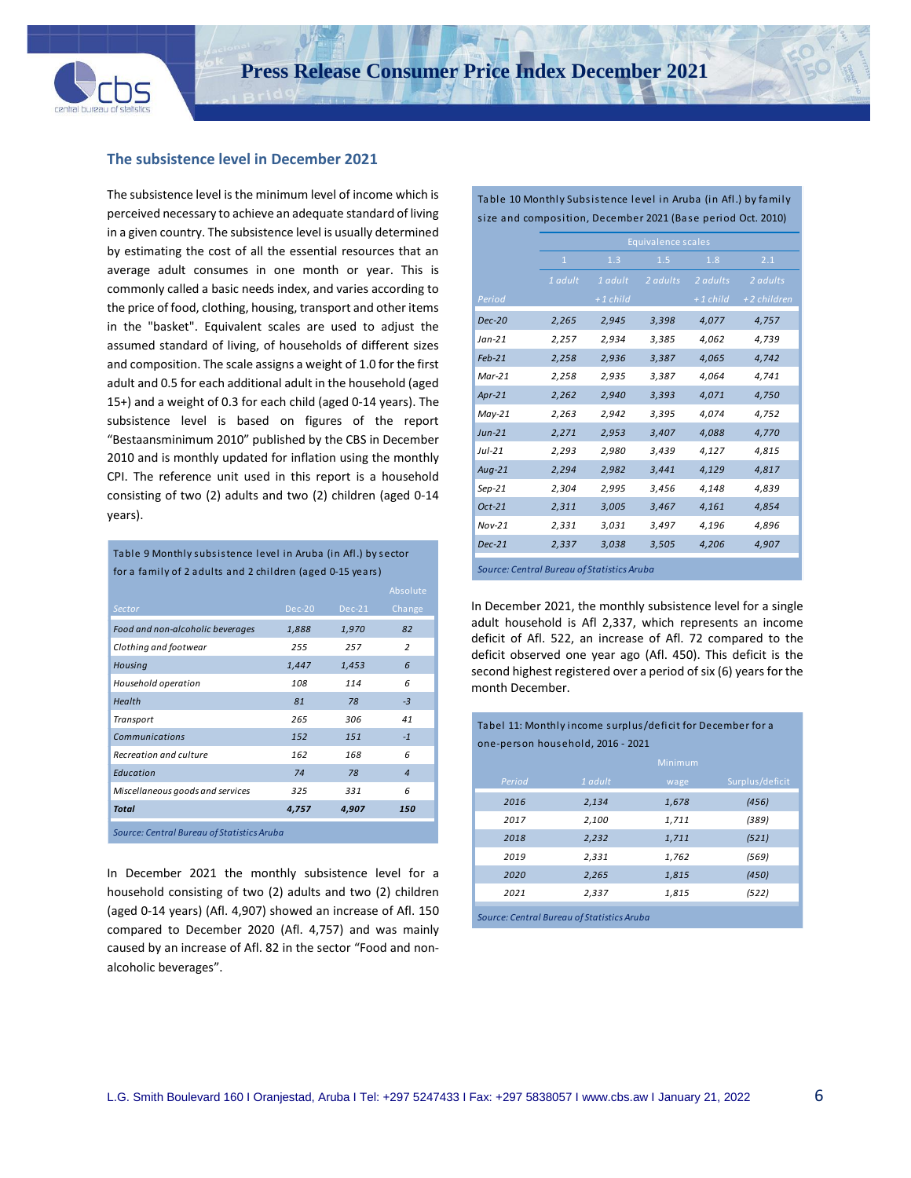

 $\ddot{\phantom{a}}$ 

#### **The subsistence level in December 2021**

The subsistence level is the minimum level of income which is perceived necessary to achieve an adequate standard of living in a given country. The subsistence level is usually determined by estimating the cost of all the essential resources that an average adult consumes in one month or year. This is commonly called a basic needs index, and varies according to the price of food, clothing, housing, transport and other items in the "basket". Equivalent scales are used to adjust the assumed standard of living, of households of different sizes and composition. The scale assigns a weight of 1.0 for the first adult and 0.5 for each additional adult in the household (aged 15+) and a weight of 0.3 for each child (aged 0-14 years). The subsistence level is based on figures of the report "Bestaansminimum 2010" published by the CBS in December 2010 and is monthly updated for inflation using the monthly CPI. The reference unit used in this report is a household consisting of two (2) adults and two (2) children (aged 0-14 years).

Table 9 Monthly subsistence level in Aruba (in Afl.) by sector for a family of 2 adults and 2 children (aged 0-15 years)

|                                            |        |          | Absolute       |  |  |  |  |
|--------------------------------------------|--------|----------|----------------|--|--|--|--|
| <b>Sector</b>                              | Dec-20 | $Dec-21$ | Change         |  |  |  |  |
| Food and non-alcoholic beverages           | 1,888  | 1,970    | 82             |  |  |  |  |
| Clothing and footwear                      | 255    | 257      | $\overline{z}$ |  |  |  |  |
| Housing                                    | 1,447  | 1,453    | 6              |  |  |  |  |
| Household operation                        | 108    | 114      | 6              |  |  |  |  |
| Health                                     | 81     | 78       | $-3$           |  |  |  |  |
| Transport                                  | 265    | 306      | 41             |  |  |  |  |
| Communications                             | 152    | 151      | $-1$           |  |  |  |  |
| Recreation and culture                     | 162    | 168      | 6              |  |  |  |  |
| Education                                  | 74     | 78       | $\overline{4}$ |  |  |  |  |
| Miscellaneous goods and services           | 325    | 331      | 6              |  |  |  |  |
| <b>Total</b>                               | 4,757  | 4,907    | 150            |  |  |  |  |
| Source: Central Bureau of Statistics Aruba |        |          |                |  |  |  |  |

In December 2021 the monthly subsistence level for a household consisting of two (2) adults and two (2) children (aged 0-14 years) (Afl. 4,907) showed an increase of Afl. 150 compared to December 2020 (Afl. 4,757) and was mainly caused by an increase of Afl. 82 in the sector "Food and nonalcoholic beverages".

Table 10 Monthly Subsistence level in Aruba (in Afl.) by family size and composition, December 2021 (Base period Oct. 2010)

|                                            |              |            | Equivalence scales |            |             |
|--------------------------------------------|--------------|------------|--------------------|------------|-------------|
|                                            | $\mathbf{1}$ | 1.3        | 1.5                | 1.8        | 2.1         |
|                                            | 1 adult      | 1 adult    | 2 adults           | 2 adults   | 2 adults    |
| Period                                     |              | $+1$ child |                    | $+1$ child | +2 children |
| <b>Dec-20</b>                              | 2,265        | 2,945      | 3,398              | 4,077      | 4,757       |
| $Jan-21$                                   | 2,257        | 2,934      | 3,385              | 4,062      | 4,739       |
| $Feb-21$                                   | 2,258        | 2,936      | 3,387              | 4,065      | 4,742       |
| $Mar-21$                                   | 2,258        | 2,935      | 3,387              | 4,064      | 4,741       |
| Apr-21                                     | 2,262        | 2,940      | 3,393              | 4,071      | 4,750       |
| $May-21$                                   | 2,263        | 2,942      | 3,395              | 4,074      | 4,752       |
| $Jun-21$                                   | 2,271        | 2,953      | 3,407              | 4,088      | 4,770       |
| $Jul-21$                                   | 2,293        | 2,980      | 3,439              | 4,127      | 4,815       |
| $Aug-21$                                   | 2,294        | 2,982      | 3,441              | 4,129      | 4,817       |
| $Sep-21$                                   | 2,304        | 2,995      | 3,456              | 4,148      | 4,839       |
| $Oct-21$                                   | 2,311        | 3,005      | 3,467              | 4,161      | 4,854       |
| $Nov-21$                                   | 2,331        | 3,031      | 3,497              | 4,196      | 4,896       |
| $Dec-21$                                   | 2,337        | 3,038      | 3,505              | 4,206      | 4,907       |
| Source: Central Bureau of Statistics Aruba |              |            |                    |            |             |

In December 2021, the monthly subsistence level for a single adult household is Afl 2,337, which represents an income deficit of Afl. 522, an increase of Afl. 72 compared to the deficit observed one year ago (Afl. 450). This deficit is the second highest registered over a period of six (6) years for the month December.

Tabel 11: Monthly income surplus/deficit for December for a

| one-person household, 2016 - 2021          |         |                |                 |  |  |  |  |  |  |
|--------------------------------------------|---------|----------------|-----------------|--|--|--|--|--|--|
|                                            |         | <b>Minimum</b> |                 |  |  |  |  |  |  |
| Period                                     | 1 adult | wage           | Surplus/deficit |  |  |  |  |  |  |
| 2016                                       | 2,134   | 1,678          | (456)           |  |  |  |  |  |  |
| 2017                                       | 2,100   | 1,711          | (389)           |  |  |  |  |  |  |
| 2018                                       | 2,232   | 1,711          | (521)           |  |  |  |  |  |  |
| 2019                                       | 2,331   | 1,762          | (569)           |  |  |  |  |  |  |
| 2020                                       | 2,265   | 1,815          | (450)           |  |  |  |  |  |  |
| 2021                                       | 2,337   | 1,815          | (522)           |  |  |  |  |  |  |
| Source: Central Bureau of Statistics Aruba |         |                |                 |  |  |  |  |  |  |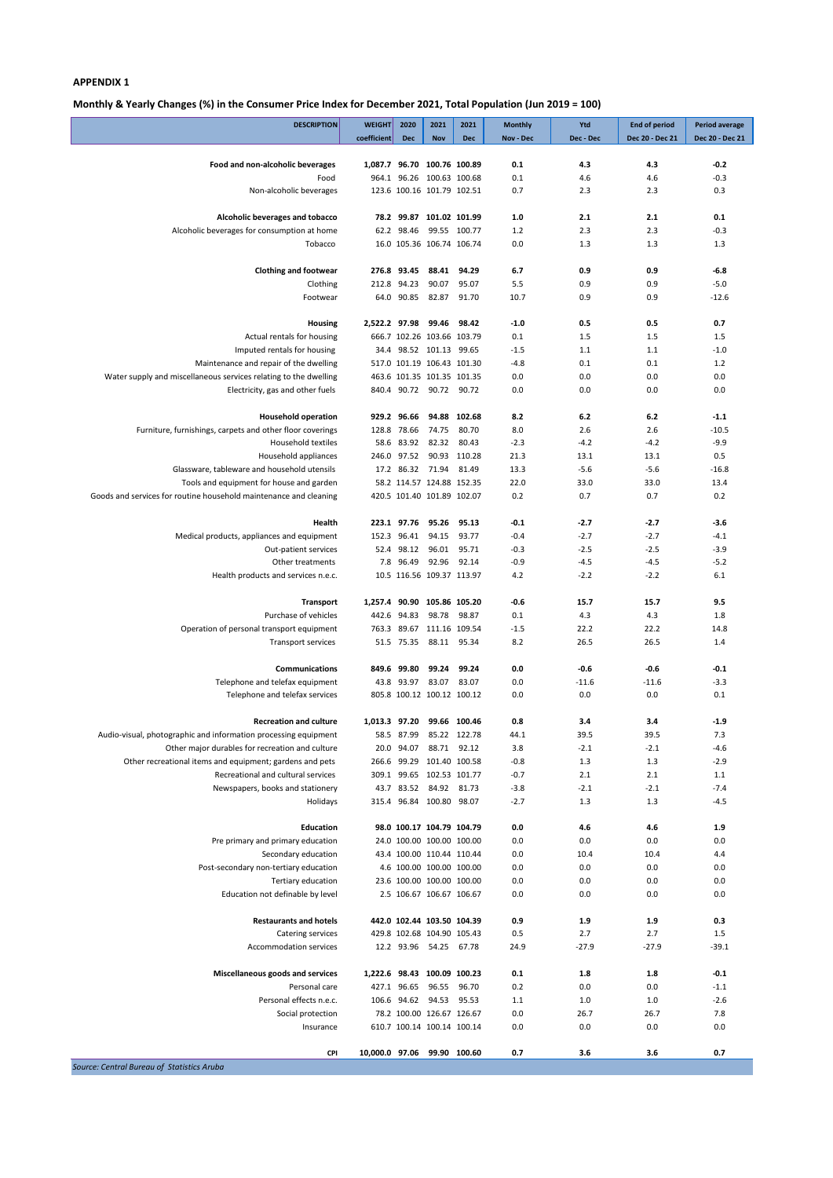**Monthly & Yearly Changes (%) in the Consumer Price Index for December 2021, Total Population (Jun 2019 = 100)**

| <b>DESCRIPTION</b>                                                                      | <b>WEIGHT</b>               | 2020        | 2021                                                | 2021         | <b>Monthly</b>   | Ytd           | <b>End of period</b> | <b>Period average</b> |
|-----------------------------------------------------------------------------------------|-----------------------------|-------------|-----------------------------------------------------|--------------|------------------|---------------|----------------------|-----------------------|
|                                                                                         | coefficient                 | <b>Dec</b>  | <b>Nov</b>                                          | <b>Dec</b>   | Nov - Dec        | Dec - Dec     | Dec 20 - Dec 21      | Dec 20 - Dec 21       |
| Food and non-alcoholic beverages                                                        | 1,087.7 96.70 100.76 100.89 |             |                                                     |              | 0.1              | 4.3           | 4.3                  | $-0.2$                |
| Food                                                                                    |                             |             | 964.1 96.26 100.63 100.68                           |              | 0.1              | 4.6           | 4.6                  | $-0.3$                |
| Non-alcoholic beverages                                                                 |                             |             | 123.6 100.16 101.79 102.51                          |              | 0.7              | 2.3           | 2.3                  | 0.3                   |
| Alcoholic beverages and tobacco                                                         |                             |             | 78.2 99.87 101.02 101.99                            |              | 1.0              | 2.1           | 2.1                  | 0.1                   |
| Alcoholic beverages for consumption at home                                             |                             | 62.2 98.46  |                                                     | 99.55 100.77 | 1.2              | 2.3           | 2.3                  | $-0.3$                |
| Tobacco                                                                                 |                             |             | 16.0 105.36 106.74 106.74                           |              | 0.0              | 1.3           | 1.3                  | 1.3                   |
| <b>Clothing and footwear</b>                                                            |                             | 276.8 93.45 | 88.41                                               | 94.29        | 6.7              | 0.9           | 0.9                  | $-6.8$                |
| Clothing                                                                                |                             | 212.8 94.23 | 90.07                                               | 95.07        | 5.5              | 0.9           | 0.9                  | $-5.0$                |
| Footwear                                                                                |                             | 64.0 90.85  | 82.87                                               | 91.70        | 10.7             | 0.9           | 0.9                  | $-12.6$               |
| <b>Housing</b>                                                                          | 2,522.2 97.98 99.46         |             |                                                     | 98.42        | $-1.0$           | 0.5           | 0.5                  | 0.7                   |
| Actual rentals for housing                                                              |                             |             | 666.7 102.26 103.66 103.79                          |              | 0.1              | 1.5           | 1.5                  | 1.5                   |
| Imputed rentals for housing                                                             |                             |             | 34.4 98.52 101.13 99.65                             |              | $-1.5$           | 1.1           | 1.1                  | $-1.0$                |
| Maintenance and repair of the dwelling                                                  |                             |             | 517.0 101.19 106.43 101.30                          |              | $-4.8$           | 0.1           | 0.1                  | 1.2                   |
| Water supply and miscellaneous services relating to the dwelling                        |                             |             | 463.6 101.35 101.35 101.35                          |              | 0.0              | 0.0           | 0.0                  | 0.0                   |
| Electricity, gas and other fuels                                                        |                             |             | 840.4 90.72 90.72                                   | 90.72        | 0.0              | 0.0           | 0.0                  | 0.0                   |
|                                                                                         |                             | 929.2 96.66 | 94.88                                               | 102.68       |                  |               |                      |                       |
| <b>Household operation</b><br>Furniture, furnishings, carpets and other floor coverings |                             | 128.8 78.66 | 74.75                                               | 80.70        | 8.2<br>8.0       | 6.2<br>2.6    | 6.2<br>2.6           | $-1.1$<br>$-10.5$     |
| <b>Household textiles</b>                                                               |                             | 58.6 83.92  | 82.32                                               | 80.43        | $-2.3$           | $-4.2$        | $-4.2$               | $-9.9$                |
| Household appliances                                                                    |                             | 246.0 97.52 |                                                     | 90.93 110.28 | 21.3             | 13.1          | 13.1                 | 0.5                   |
| Glassware, tableware and household utensils                                             |                             |             | 17.2 86.32 71.94                                    | 81.49        | 13.3             | $-5.6$        | $-5.6$               | $-16.8$               |
| Tools and equipment for house and garden                                                |                             |             | 58.2 114.57 124.88 152.35                           |              | 22.0             | 33.0          | 33.0                 | 13.4                  |
| Goods and services for routine household maintenance and cleaning                       |                             |             | 420.5 101.40 101.89 102.07                          |              | 0.2              | 0.7           | 0.7                  | 0.2                   |
| Health                                                                                  |                             |             | 223.1 97.76 95.26                                   | 95.13        | $-0.1$           | $-2.7$        | $-2.7$               | $-3.6$                |
| Medical products, appliances and equipment                                              |                             | 152.3 96.41 | 94.15                                               | 93.77        | $-0.4$           | $-2.7$        | $-2.7$               | $-4.1$                |
| Out-patient services                                                                    |                             | 52.4 98.12  | 96.01                                               | 95.71        | $-0.3$           | $-2.5$        | $-2.5$               | $-3.9$                |
| Other treatments                                                                        |                             | 7.8 96.49   | 92.96                                               | 92.14        | $-0.9$           | $-4.5$        | $-4.5$               | $-5.2$                |
| Health products and services n.e.c.                                                     |                             |             | 10.5 116.56 109.37 113.97                           |              | 4.2              | $-2.2$        | $-2.2$               | 6.1                   |
|                                                                                         |                             |             |                                                     |              |                  |               |                      |                       |
| <b>Transport</b>                                                                        | 1,257.4 90.90 105.86 105.20 |             |                                                     |              | $-0.6$           | 15.7          | 15.7                 | 9.5                   |
| Purchase of vehicles                                                                    |                             | 442.6 94.83 | 98.78                                               | 98.87        | 0.1              | 4.3           | 4.3                  | 1.8                   |
| Operation of personal transport equipment<br><b>Transport services</b>                  |                             |             | 763.3 89.67 111.16 109.54<br>51.5 75.35 88.11 95.34 |              | $-1.5$<br>8.2    | 22.2<br>26.5  | 22.2<br>26.5         | 14.8<br>1.4           |
|                                                                                         |                             |             |                                                     |              |                  |               |                      |                       |
| <b>Communications</b>                                                                   |                             | 849.6 99.80 | 99.24                                               | 99.24        | 0.0              | $-0.6$        | $-0.6$               | $-0.1$                |
| Telephone and telefax equipment                                                         |                             | 43.8 93.97  | 83.07                                               | 83.07        | 0.0              | $-11.6$       | $-11.6$              | $-3.3$                |
| Telephone and telefax services                                                          |                             |             | 805.8 100.12 100.12 100.12                          |              | 0.0              | 0.0           | 0.0                  | 0.1                   |
| <b>Recreation and culture</b>                                                           | 1,013.3 97.20               |             |                                                     | 99.66 100.46 | 0.8              | 3.4           | 3.4                  | $-1.9$                |
| Audio-visual, photographic and information processing equipment                         |                             | 58.5 87.99  |                                                     | 85.22 122.78 | 44.1             | 39.5          | 39.5                 | 7.3                   |
| Other major durables for recreation and culture                                         |                             | 20.0 94.07  |                                                     | 88.71 92.12  | 3.8              | $-2.1$        | $-2.1$               | $-4.6$                |
| Other recreational items and equipment; gardens and pets                                |                             |             | 266.6 99.29 101.40 100.58                           |              | $-0.8$           | 1.3           | 1.3                  | $-2.9$                |
| Recreational and cultural services                                                      |                             |             | 309.1 99.65 102.53 101.77                           |              | $-0.7$           | 2.1           | 2.1                  | 1.1                   |
| Newspapers, books and stationery<br>Holidays                                            |                             |             | 43.7 83.52 84.92 81.73<br>315.4 96.84 100.80 98.07  |              | $-3.8$<br>$-2.7$ | $-2.1$<br>1.3 | $-2.1$<br>1.3        | $-7.4$<br>$-4.5$      |
|                                                                                         |                             |             |                                                     |              |                  |               |                      |                       |
| <b>Education</b>                                                                        |                             |             | 98.0 100.17 104.79 104.79                           |              | 0.0              | 4.6           | 4.6                  | 1.9                   |
| Pre primary and primary education                                                       |                             |             | 24.0 100.00 100.00 100.00                           |              | 0.0              | 0.0           | 0.0                  | 0.0                   |
| Secondary education                                                                     |                             |             | 43.4 100.00 110.44 110.44                           |              | 0.0              | 10.4          | 10.4                 | 4.4                   |
| Post-secondary non-tertiary education                                                   |                             |             | 4.6 100.00 100.00 100.00                            |              | 0.0              | 0.0           | 0.0                  | 0.0                   |
| Tertiary education                                                                      |                             |             | 23.6 100.00 100.00 100.00                           |              | 0.0              | 0.0           | 0.0                  | 0.0                   |
| Education not definable by level                                                        |                             |             | 2.5 106.67 106.67 106.67                            |              | 0.0              | 0.0           | 0.0                  | 0.0                   |
| <b>Restaurants and hotels</b>                                                           |                             |             | 442.0 102.44 103.50 104.39                          |              | 0.9              | 1.9           | 1.9                  | 0.3                   |
| Catering services                                                                       |                             |             | 429.8 102.68 104.90 105.43                          |              | 0.5              | 2.7           | 2.7                  | 1.5                   |
| <b>Accommodation services</b>                                                           |                             |             | 12.2 93.96 54.25                                    | 67.78        | 24.9             | $-27.9$       | $-27.9$              | $-39.1$               |
| Miscellaneous goods and services                                                        | 1,222.6 98.43 100.09 100.23 |             |                                                     |              | 0.1              | 1.8           | 1.8                  | $-0.1$                |
| Personal care                                                                           |                             | 427.1 96.65 | 96.55                                               | 96.70        | 0.2              | 0.0           | 0.0                  | $-1.1$                |
| Personal effects n.e.c.                                                                 |                             | 106.6 94.62 | 94.53                                               | 95.53        | 1.1              | 1.0           | 1.0                  | $-2.6$                |
| Social protection                                                                       |                             |             | 78.2 100.00 126.67 126.67                           |              | 0.0              | 26.7          | 26.7                 | 7.8                   |
| Insurance                                                                               |                             |             | 610.7 100.14 100.14 100.14                          |              | 0.0              | 0.0           | 0.0                  | 0.0                   |
| CPI                                                                                     | 10,000.0 97.06              |             | 99.90 100.60                                        |              | 0.7              | 3.6           | 3.6                  | 0.7                   |
| Source: Central Bureau of Statistics Aruba                                              |                             |             |                                                     |              |                  |               |                      |                       |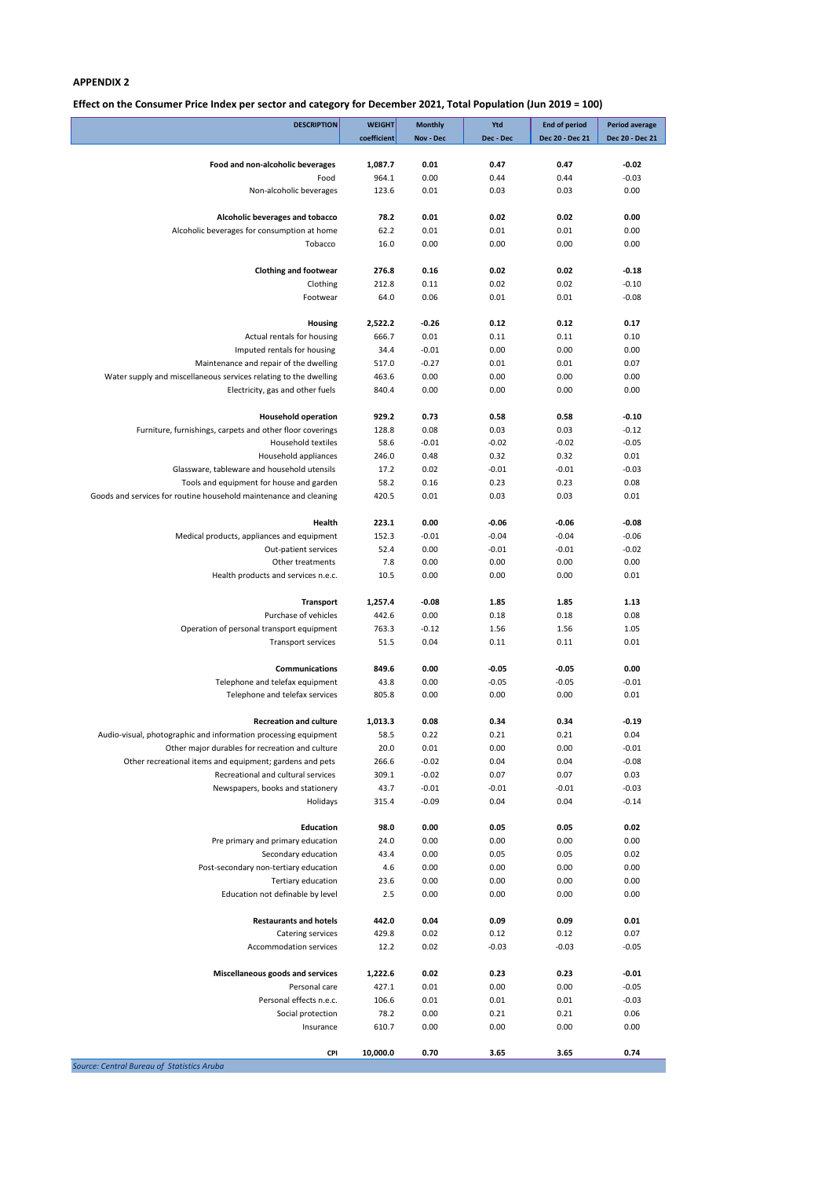**Effect on the Consumer Price Index per sector and category for December 2021, Total Population (Jun 2019 = 100)**

| <b>DESCRIPTION</b>                                                | <b>WEIGHT</b> | <b>Monthly</b> | Ytd          | <b>End of period</b> | Period average  |
|-------------------------------------------------------------------|---------------|----------------|--------------|----------------------|-----------------|
|                                                                   | coefficient   | Nov - Dec      | Dec - Dec    | Dec 20 - Dec 21      | Dec 20 - Dec 21 |
| Food and non-alcoholic beverages                                  | 1,087.7       | 0.01           | 0.47         | 0.47                 | $-0.02$         |
| Food                                                              | 964.1         | 0.00           | 0.44         | 0.44                 | $-0.03$         |
| Non-alcoholic beverages                                           | 123.6         | 0.01           | 0.03         | 0.03                 | 0.00            |
| Alcoholic beverages and tobacco                                   | 78.2          | 0.01           | 0.02         | 0.02                 | 0.00            |
| Alcoholic beverages for consumption at home                       | 62.2          | 0.01           | 0.01         | 0.01                 | 0.00            |
| Tobacco                                                           | 16.0          | 0.00           | 0.00         | 0.00                 | 0.00            |
|                                                                   |               |                |              |                      |                 |
| <b>Clothing and footwear</b>                                      | 276.8         | 0.16           | 0.02         | 0.02                 | $-0.18$         |
| Clothing                                                          | 212.8         | 0.11           | 0.02         | 0.02                 | $-0.10$         |
| Footwear                                                          | 64.0          | 0.06           | 0.01         | 0.01                 | $-0.08$         |
| <b>Housing</b>                                                    | 2,522.2       | $-0.26$        | 0.12         | 0.12                 | 0.17            |
| Actual rentals for housing                                        | 666.7         | 0.01           | 0.11         | 0.11                 | 0.10            |
| Imputed rentals for housing                                       | 34.4          | $-0.01$        | 0.00         | 0.00                 | 0.00            |
| Maintenance and repair of the dwelling                            | 517.0         | $-0.27$        | 0.01         | 0.01                 | 0.07            |
| Water supply and miscellaneous services relating to the dwelling  | 463.6         | 0.00           | 0.00         | 0.00                 | 0.00            |
| Electricity, gas and other fuels                                  | 840.4         | 0.00           | 0.00         | 0.00                 | 0.00            |
| <b>Household operation</b>                                        | 929.2         | 0.73           | 0.58         | 0.58                 | $-0.10$         |
| Furniture, furnishings, carpets and other floor coverings         | 128.8         | 0.08           | 0.03         | 0.03                 | $-0.12$         |
| Household textiles                                                | 58.6          | $-0.01$        | $-0.02$      | $-0.02$              | $-0.05$         |
| Household appliances                                              | 246.0         | 0.48           | 0.32         | 0.32                 | 0.01            |
| Glassware, tableware and household utensils                       | 17.2          | 0.02           | $-0.01$      | $-0.01$              | $-0.03$         |
| Tools and equipment for house and garden                          | 58.2          | 0.16           | 0.23         | 0.23                 | 0.08            |
| Goods and services for routine household maintenance and cleaning | 420.5         | 0.01           | 0.03         | 0.03                 | 0.01            |
|                                                                   |               |                |              |                      |                 |
| Health                                                            | 223.1         | 0.00           | $-0.06$      | $-0.06$              | $-0.08$         |
| Medical products, appliances and equipment                        | 152.3         | $-0.01$        | $-0.04$      | $-0.04$              | $-0.06$         |
| Out-patient services                                              | 52.4          | 0.00           | $-0.01$      | $-0.01$              | $-0.02$         |
| Other treatments                                                  | 7.8           | 0.00           | 0.00         | 0.00                 | 0.00            |
| Health products and services n.e.c.                               | 10.5          | 0.00           | 0.00         | 0.00                 | 0.01            |
| <b>Transport</b>                                                  | 1,257.4       | $-0.08$        | 1.85         | 1.85                 | 1.13            |
| Purchase of vehicles                                              | 442.6         | 0.00           | 0.18         | 0.18                 | 0.08            |
| Operation of personal transport equipment                         | 763.3         | $-0.12$        | 1.56         | 1.56                 | 1.05            |
| <b>Transport services</b>                                         | 51.5          | 0.04           | 0.11         | 0.11                 | 0.01            |
| <b>Communications</b>                                             | 849.6         | 0.00           | $-0.05$      | $-0.05$              | 0.00            |
| Telephone and telefax equipment                                   | 43.8          | 0.00           | $-0.05$      | $-0.05$              | $-0.01$         |
| Telephone and telefax services                                    | 805.8         | 0.00           | 0.00         | 0.00                 | 0.01            |
|                                                                   |               |                |              |                      |                 |
| <b>Recreation and culture</b>                                     | 1,013.3       | 0.08           | 0.34         | 0.34                 | $-0.19$         |
| Audio-visual, photographic and information processing equipment   | 58.5          | 0.22           | 0.21         | 0.21                 | 0.04            |
| Other major durables for recreation and culture                   | 20.0          | 0.01           | 0.00         | 0.00                 | $-0.01$         |
| Other recreational items and equipment; gardens and pets          | 266.6         | $-0.02$        | 0.04         | 0.04                 | $-0.08$         |
| Recreational and cultural services                                | 309.1         | $-0.02$        | 0.07         | 0.07                 | 0.03            |
| Newspapers, books and stationery                                  | 43.7          | $-0.01$        | $-0.01$      | $-0.01$              | $-0.03$         |
| Holidays                                                          | 315.4         | $-0.09$        | 0.04         | 0.04                 | $-0.14$         |
| <b>Education</b>                                                  | 98.0          | 0.00           | 0.05         | 0.05                 | 0.02            |
| Pre primary and primary education                                 | 24.0          | 0.00           | 0.00         | 0.00                 | 0.00            |
| Secondary education                                               | 43.4          | 0.00           | 0.05         | 0.05                 | 0.02            |
| Post-secondary non-tertiary education                             | 4.6           | 0.00           | 0.00         | 0.00                 | 0.00            |
| Tertiary education                                                | 23.6          | 0.00           | 0.00         | 0.00                 | 0.00            |
| Education not definable by level                                  | 2.5           | 0.00           | 0.00         | 0.00                 | 0.00            |
| <b>Restaurants and hotels</b>                                     | 442.0         | 0.04           | 0.09         | 0.09                 | 0.01            |
| Catering services                                                 | 429.8         | 0.02           | 0.12         | 0.12                 | 0.07            |
| <b>Accommodation services</b>                                     | 12.2          | 0.02           | $-0.03$      | $-0.03$              | $-0.05$         |
|                                                                   |               |                |              |                      |                 |
| Miscellaneous goods and services                                  | 1,222.6       | 0.02           | 0.23         | 0.23                 | $-0.01$         |
| Personal care                                                     | 427.1         | 0.01           | 0.00         | 0.00                 | $-0.05$         |
| Personal effects n.e.c.                                           | 106.6         | 0.01           | 0.01         | 0.01                 | $-0.03$         |
| Social protection<br>Insurance                                    | 78.2<br>610.7 | 0.00<br>0.00   | 0.21<br>0.00 | 0.21<br>0.00         | 0.06<br>0.00    |
|                                                                   |               |                |              |                      |                 |
| <b>CPI</b>                                                        | 10,000.0      | 0.70           | 3.65         | 3.65                 | 0.74            |
| Source: Central Bureau of Statistics Aruba                        |               |                |              |                      |                 |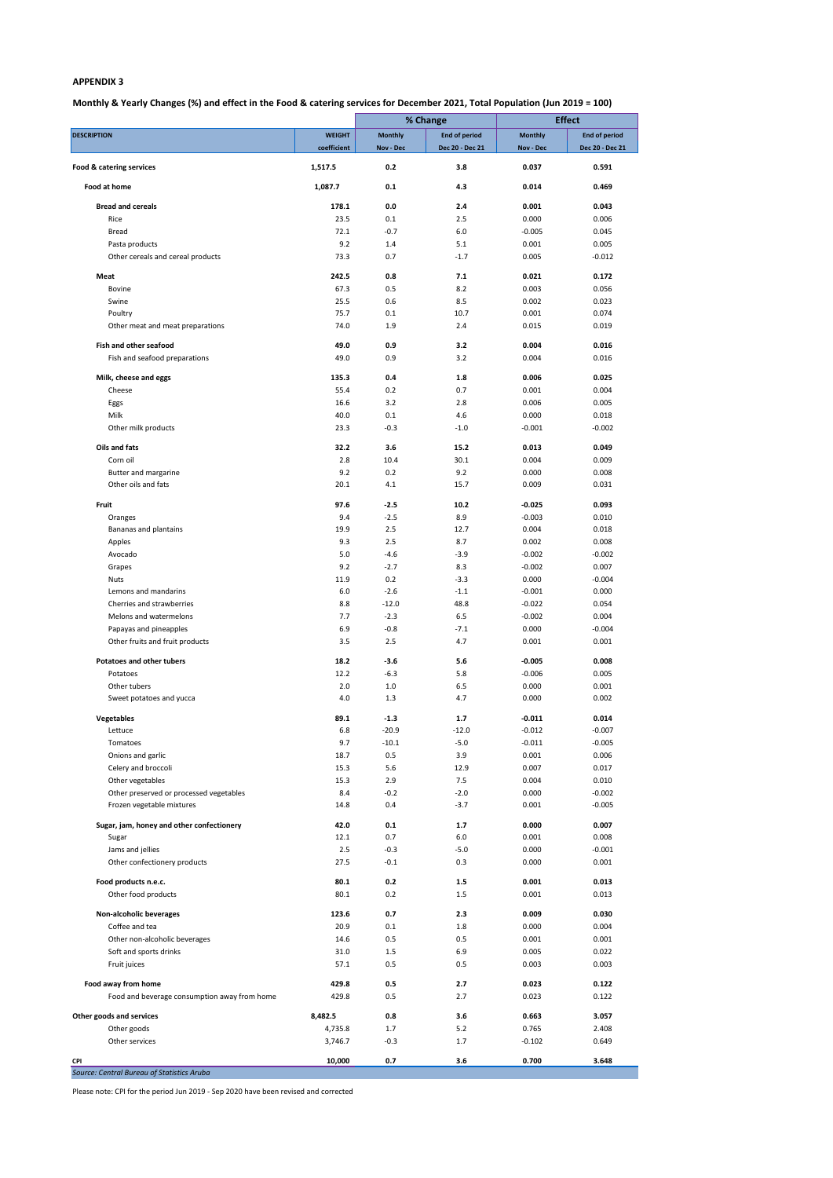# **Monthly & Yearly Changes (%) and effect in the Food & catering services for December 2021, Total Population (Jun 2019 = 100)**

Please note: CPI for the period Jun 2019 - Sep 2020 have been revised and corrected

|                                                           |               | % Change        |                      |                | <b>Effect</b>        |  |
|-----------------------------------------------------------|---------------|-----------------|----------------------|----------------|----------------------|--|
| <b>DESCRIPTION</b>                                        | <b>WEIGHT</b> | <b>Monthly</b>  | <b>End of period</b> | <b>Monthly</b> | <b>End of period</b> |  |
|                                                           | coefficient   | Nov - Dec       | Dec 20 - Dec 21      | Nov - Dec      | Dec 20 - Dec 21      |  |
| Food & catering services                                  | 1,517.5       | 0.2             | 3.8                  | 0.037          | 0.591                |  |
| <b>Food at home</b>                                       | 1,087.7       | 0.1             | 4.3                  | 0.014          | 0.469                |  |
| <b>Bread and cereals</b>                                  | 178.1         | 0.0             | 2.4                  | 0.001          | 0.043                |  |
| Rice                                                      | 23.5          | 0.1             | 2.5                  | 0.000          | 0.006                |  |
| <b>Bread</b>                                              | 72.1          | $-0.7$          | 6.0                  | $-0.005$       | 0.045                |  |
| Pasta products                                            | 9.2           | 1.4             | 5.1                  | 0.001          | 0.005                |  |
| Other cereals and cereal products                         | 73.3          | 0.7             | $-1.7$               | 0.005          | $-0.012$             |  |
| Meat                                                      | 242.5         | 0.8             | 7.1                  | 0.021          | 0.172                |  |
| <b>Bovine</b>                                             | 67.3          | 0.5             | 8.2                  | 0.003          | 0.056                |  |
| Swine                                                     | 25.5          | 0.6             | 8.5                  | 0.002          | 0.023                |  |
| Poultry                                                   | 75.7          | 0.1             | 10.7                 | 0.001          | 0.074                |  |
| Other meat and meat preparations                          | 74.0          | 1.9             | 2.4                  | 0.015          | 0.019                |  |
| Fish and other seafood                                    | 49.0          | 0.9             | 3.2                  | 0.004          | 0.016                |  |
| Fish and seafood preparations                             | 49.0          | 0.9             | 3.2                  | 0.004          | 0.016                |  |
|                                                           |               |                 |                      |                |                      |  |
| Milk, cheese and eggs                                     | 135.3         | 0.4             | 1.8                  | 0.006          | 0.025                |  |
| Cheese                                                    | 55.4<br>16.6  | 0.2<br>3.2      | 0.7<br>2.8           | 0.001<br>0.006 | 0.004<br>0.005       |  |
| Eggs<br>Milk                                              | 40.0          | 0.1             | 4.6                  | 0.000          | 0.018                |  |
| Other milk products                                       | 23.3          | $-0.3$          | $-1.0$               | $-0.001$       | $-0.002$             |  |
|                                                           |               |                 |                      |                |                      |  |
| Oils and fats                                             | 32.2          | 3.6             | 15.2                 | 0.013          | 0.049                |  |
| Corn oil                                                  | 2.8           | 10.4            | 30.1                 | 0.004          | 0.009                |  |
| Butter and margarine                                      | 9.2           | 0.2             | 9.2                  | 0.000          | 0.008                |  |
| Other oils and fats                                       | 20.1          | 4.1             | 15.7                 | 0.009          | 0.031                |  |
| Fruit                                                     | 97.6          | $-2.5$          | 10.2                 | $-0.025$       | 0.093                |  |
| Oranges                                                   | 9.4           | $-2.5$          | 8.9                  | $-0.003$       | 0.010                |  |
| Bananas and plantains                                     | 19.9          | 2.5             | 12.7                 | 0.004          | 0.018                |  |
| Apples                                                    | 9.3           | 2.5             | 8.7                  | 0.002          | 0.008                |  |
| Avocado                                                   | 5.0           | $-4.6$          | $-3.9$               | $-0.002$       | $-0.002$             |  |
| Grapes                                                    | 9.2           | $-2.7$          | 8.3                  | $-0.002$       | 0.007                |  |
| <b>Nuts</b>                                               | 11.9          | 0.2             | $-3.3$               | 0.000          | $-0.004$             |  |
| Lemons and mandarins                                      | $6.0$         | $-2.6$          | $-1.1$               | $-0.001$       | 0.000                |  |
| Cherries and strawberries                                 | 8.8           | $-12.0$         | 48.8                 | $-0.022$       | 0.054                |  |
| Melons and watermelons                                    | 7.7           | $-2.3$          | 6.5                  | $-0.002$       | 0.004                |  |
| Papayas and pineapples<br>Other fruits and fruit products | 6.9<br>3.5    | $-0.8$<br>$2.5$ | $-7.1$<br>4.7        | 0.000<br>0.001 | $-0.004$<br>0.001    |  |
|                                                           |               |                 |                      |                |                      |  |
| <b>Potatoes and other tubers</b>                          | 18.2          | $-3.6$          | 5.6                  | $-0.005$       | 0.008                |  |
| Potatoes                                                  | 12.2          | $-6.3$          | 5.8                  | $-0.006$       | 0.005                |  |
| Other tubers                                              | 2.0           | $1.0$           | 6.5                  | 0.000          | 0.001                |  |
| Sweet potatoes and yucca                                  | 4.0           | 1.3             | 4.7                  | 0.000          | 0.002                |  |
| Vegetables                                                | 89.1          | $-1.3$          | 1.7                  | $-0.011$       | 0.014                |  |
| Lettuce                                                   | 6.8           | $-20.9$         | $-12.0$              | $-0.012$       | $-0.007$             |  |
| Tomatoes                                                  | 9.7           | $-10.1$         | $-5.0$               | $-0.011$       | $-0.005$             |  |
| Onions and garlic                                         | 18.7          | 0.5             | 3.9                  | 0.001          | 0.006                |  |
| Celery and broccoli                                       | 15.3          | 5.6             | 12.9                 | 0.007          | 0.017                |  |
| Other vegetables                                          | 15.3          | 2.9             | 7.5                  | 0.004          | 0.010                |  |
| Other preserved or processed vegetables                   | 8.4           | $-0.2$          | $-2.0$               | 0.000          | $-0.002$             |  |
| Frozen vegetable mixtures                                 | 14.8          | 0.4             | $-3.7$               | 0.001          | $-0.005$             |  |
| Sugar, jam, honey and other confectionery                 | 42.0          | 0.1             | 1.7                  | 0.000          | 0.007                |  |
| Sugar                                                     | 12.1          | 0.7             | 6.0                  | 0.001          | 0.008                |  |
| Jams and jellies                                          | 2.5           | $-0.3$          | $-5.0$               | 0.000          | $-0.001$             |  |
| Other confectionery products                              | 27.5          | $-0.1$          | 0.3                  | 0.000          | 0.001                |  |
|                                                           |               |                 |                      |                |                      |  |
| Food products n.e.c.                                      | 80.1          | 0.2             | $1.5$                | 0.001          | 0.013                |  |
| Other food products                                       | 80.1          | 0.2             | 1.5                  | 0.001          | 0.013                |  |
| Non-alcoholic beverages                                   | 123.6         | 0.7             | 2.3                  | 0.009          | 0.030                |  |
| Coffee and tea                                            | 20.9          | 0.1             | 1.8                  | 0.000          | 0.004                |  |
| Other non-alcoholic beverages                             | 14.6          | 0.5             | 0.5                  | 0.001          | 0.001                |  |
| Soft and sports drinks                                    | 31.0          | 1.5             | 6.9                  | 0.005          | 0.022                |  |
| Fruit juices                                              | 57.1          | 0.5             | 0.5                  | 0.003          | 0.003                |  |
| Food away from home                                       | 429.8         | 0.5             | 2.7                  | 0.023          | 0.122                |  |
| Food and beverage consumption away from home              | 429.8         | 0.5             | 2.7                  | 0.023          | 0.122                |  |
|                                                           |               |                 |                      |                |                      |  |
| Other goods and services                                  | 8,482.5       | 0.8             | 3.6                  | 0.663          | 3.057                |  |
| Other goods                                               | 4,735.8       | 1.7             | 5.2                  | 0.765          | 2.408                |  |
| Other services                                            | 3,746.7       | $-0.3$          | $1.7\,$              | $-0.102$       | 0.649                |  |
| CPI                                                       | 10,000        | $0.7\,$         | 3.6                  | 0.700          | 3.648                |  |
| Source: Central Bureau of Statistics Aruba                |               |                 |                      |                |                      |  |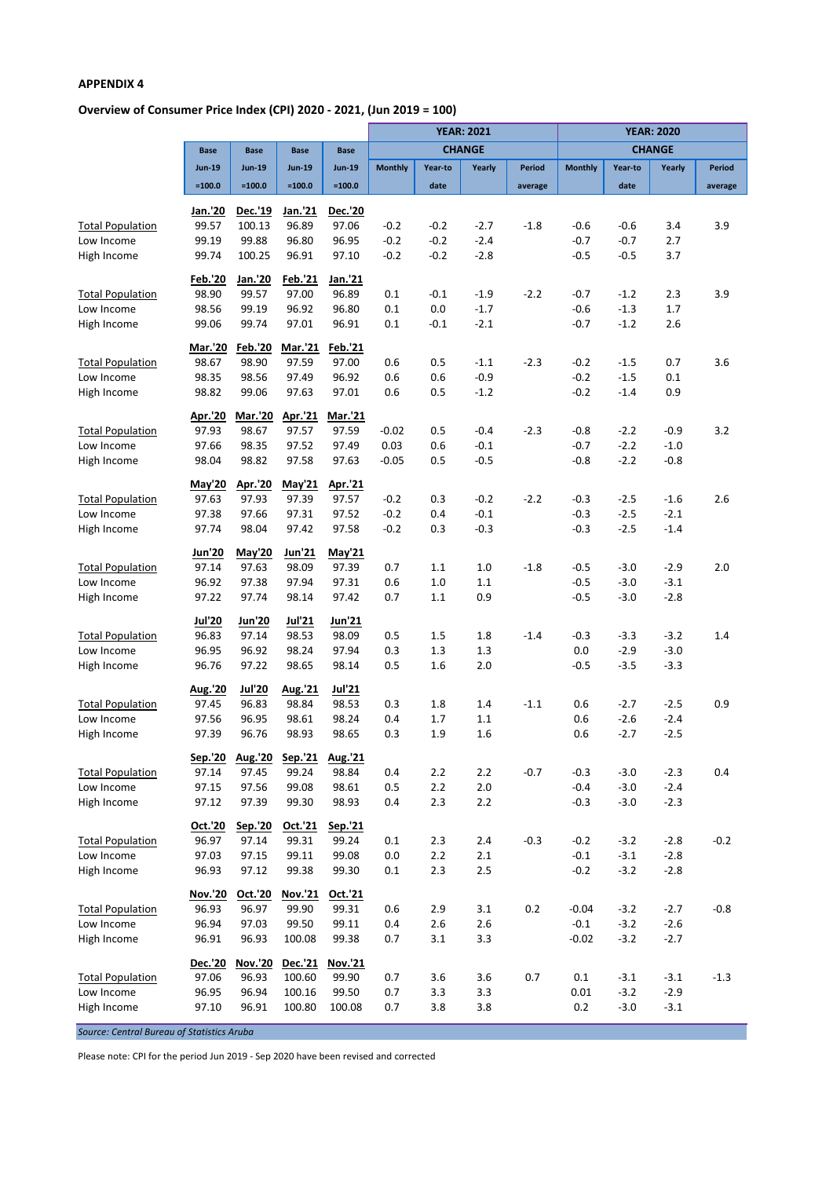# **Overview of Consumer Price Index (CPI) 2020 - 2021, (Jun 2019 = 100)**

|                           |                  |                  |                  |                         | <b>YEAR: 2021</b> |            |               | <b>YEAR: 2020</b> |                |                  |                  |               |
|---------------------------|------------------|------------------|------------------|-------------------------|-------------------|------------|---------------|-------------------|----------------|------------------|------------------|---------------|
|                           | <b>Base</b>      | <b>Base</b>      | <b>Base</b>      | <b>Base</b>             |                   |            | <b>CHANGE</b> |                   | <b>CHANGE</b>  |                  |                  |               |
|                           | <b>Jun-19</b>    | <b>Jun-19</b>    | <b>Jun-19</b>    | <b>Jun-19</b>           | <b>Monthly</b>    | Year-to    | Yearly        | <b>Period</b>     | <b>Monthly</b> | Year-to          | Yearly           | <b>Period</b> |
|                           | $=100.0$         | $=100.0$         | $=100.0$         | $=100.0$                |                   | date       |               | average           |                | date             |                  | average       |
|                           | Jan.'20          | <b>Dec.'19</b>   | Jan.'21          | <b>Dec.'20</b>          |                   |            |               |                   |                |                  |                  |               |
| <b>Total Population</b>   | 99.57            | 100.13           | 96.89            | 97.06                   | $-0.2$            | $-0.2$     | $-2.7$        | $-1.8$            | $-0.6$         | -0.6             | 3.4              | 3.9           |
| Low Income                | 99.19            | 99.88            | 96.80            | 96.95                   | $-0.2$            | $-0.2$     | $-2.4$        |                   | $-0.7$         | $-0.7$           | 2.7              |               |
| High Income               | 99.74            | 100.25           | 96.91            | 97.10                   | $-0.2$            | $-0.2$     | $-2.8$        |                   | $-0.5$         | $-0.5$           | 3.7              |               |
|                           | <b>Feb.'20</b>   | Jan.'20          | Feb.'21          | Jan.'21                 |                   |            |               |                   |                |                  |                  |               |
| <b>Total Population</b>   | 98.90            | 99.57            | 97.00            | 96.89                   | 0.1               | $-0.1$     | $-1.9$        | $-2.2$            | $-0.7$         | $-1.2$           | 2.3              | 3.9           |
| Low Income                | 98.56            | 99.19            | 96.92            | 96.80                   | 0.1               | 0.0        | $-1.7$        |                   | $-0.6$         | $-1.3$           | 1.7              |               |
| High Income               | 99.06            | 99.74            | 97.01            | 96.91                   | 0.1               | $-0.1$     | $-2.1$        |                   | $-0.7$         | $-1.2$           | 2.6              |               |
|                           | <b>Mar.'20</b>   | <b>Feb.'20</b>   | <b>Mar.'21</b>   | Feb.'21                 |                   |            |               |                   |                |                  |                  |               |
| <b>Total Population</b>   | 98.67            | 98.90            | 97.59            | 97.00                   | 0.6               | 0.5        | $-1.1$        | $-2.3$            | $-0.2$         | $-1.5$           | 0.7              | 3.6           |
| Low Income                | 98.35            | 98.56            | 97.49            | 96.92                   | 0.6               | 0.6        | $-0.9$        |                   | $-0.2$         | $-1.5$           | 0.1              |               |
| High Income               | 98.82            | 99.06            | 97.63            | 97.01                   | 0.6               | 0.5        | $-1.2$        |                   | $-0.2$         | $-1.4$           | 0.9              |               |
| <b>Total Population</b>   | Apr.'20<br>97.93 | Mar.'20<br>98.67 | Apr.'21<br>97.57 | <b>Mar.'21</b><br>97.59 | $-0.02$           | 0.5        | $-0.4$        | $-2.3$            | $-0.8$         | $-2.2$           | $-0.9$           | 3.2           |
| Low Income                | 97.66            | 98.35            | 97.52            | 97.49                   | 0.03              | 0.6        | $-0.1$        |                   | $-0.7$         | $-2.2$           | $-1.0$           |               |
| High Income               | 98.04            | 98.82            | 97.58            | 97.63                   | $-0.05$           | 0.5        | $-0.5$        |                   | $-0.8$         | $-2.2$           | $-0.8$           |               |
|                           | May'20           | Apr.'20          | May'21           | Apr.'21                 |                   |            |               |                   |                |                  |                  |               |
| <b>Total Population</b>   | 97.63            | 97.93            | 97.39            | 97.57                   | $-0.2$            | 0.3        | $-0.2$        | $-2.2$            | $-0.3$         | $-2.5$           | $-1.6$           | 2.6           |
| Low Income                | 97.38            | 97.66            | 97.31            | 97.52                   | $-0.2$            | 0.4        | $-0.1$        |                   | $-0.3$         | $-2.5$           | $-2.1$           |               |
| High Income               | 97.74            | 98.04            | 97.42            | 97.58                   | $-0.2$            | 0.3        | $-0.3$        |                   | $-0.3$         | $-2.5$           | $-1.4$           |               |
|                           | Jun'20           | <b>May'20</b>    | Jun'21           | May'21                  |                   |            |               |                   |                |                  |                  |               |
| <b>Total Population</b>   | 97.14            | 97.63            | 98.09            | 97.39                   | 0.7               | 1.1        | 1.0           | $-1.8$            | $-0.5$         | $-3.0$           | $-2.9$           | 2.0           |
| Low Income                | 96.92            | 97.38            | 97.94            | 97.31                   | 0.6               | $1.0$      | 1.1           |                   | $-0.5$         | $-3.0$           | $-3.1$           |               |
| High Income               | 97.22            | 97.74            | 98.14            | 97.42                   | 0.7               | 1.1        | 0.9           |                   | $-0.5$         | $-3.0$           | $-2.8$           |               |
|                           | <b>Jul'20</b>    | <b>Jun'20</b>    | Jul'21           | <b>Jun'21</b>           |                   |            |               |                   |                |                  |                  |               |
| <b>Total Population</b>   | 96.83            | 97.14            | 98.53            | 98.09                   | 0.5               | 1.5        | 1.8           | $-1.4$            | $-0.3$         | $-3.3$           | $-3.2$           | 1.4           |
| Low Income                | 96.95            | 96.92            | 98.24            | 97.94                   | 0.3               | 1.3        | 1.3           |                   | 0.0            | $-2.9$           | $-3.0$           |               |
| High Income               | 96.76            | 97.22            | 98.65            | 98.14                   | 0.5               | 1.6        | 2.0           |                   | $-0.5$         | $-3.5$           | $-3.3$           |               |
|                           | Aug.'20          | <b>Jul'20</b>    | Aug.'21          | <b>Jul'21</b>           |                   |            |               |                   |                |                  |                  |               |
| <b>Total Population</b>   | 97.45            | 96.83            | 98.84            | 98.53                   | 0.3               | $1.8\,$    | 1.4           | $-1.1$            | 0.6            | $-2.7$           | $-2.5$           | 0.9           |
| Low Income<br>High Income | 97.56<br>97.39   | 96.95<br>96.76   | 98.61<br>98.93   | 98.24<br>98.65          | 0.4<br>0.3        | 1.7<br>1.9 | 1.1<br>1.6    |                   | 0.6<br>0.6     | $-2.6$<br>$-2.7$ | $-2.4$<br>$-2.5$ |               |
|                           |                  |                  |                  |                         |                   |            |               |                   |                |                  |                  |               |
| <b>Total Population</b>   | Sep.'20<br>97.14 | Aug.'20<br>97.45 | Sep.'21<br>99.24 | Aug.'21<br>98.84        | 0.4               | $2.2$      | 2.2           | $-0.7$            | $-0.3$         | $-3.0$           | $-2.3$           | 0.4           |
| Low Income                | 97.15            | 97.56            | 99.08            | 98.61                   | 0.5               | $2.2$      | 2.0           |                   | $-0.4$         | $-3.0$           | $-2.4$           |               |
| High Income               | 97.12            | 97.39            | 99.30            | 98.93                   | 0.4               | 2.3        | $2.2$         |                   | $-0.3$         | $-3.0$           | $-2.3$           |               |
|                           | Oct.'20          | Sep.'20          | Oct.'21          | Sep.'21                 |                   |            |               |                   |                |                  |                  |               |
| <b>Total Population</b>   | 96.97            | 97.14            | 99.31            | 99.24                   | 0.1               | 2.3        | 2.4           | $-0.3$            | $-0.2$         | $-3.2$           | $-2.8$           | $-0.2$        |
| Low Income                | 97.03            | 97.15            | 99.11            | 99.08                   | 0.0               | $2.2$      | 2.1           |                   | $-0.1$         | $-3.1$           | $-2.8$           |               |
| High Income               | 96.93            | 97.12            | 99.38            | 99.30                   | 0.1               | 2.3        | 2.5           |                   | $-0.2$         | $-3.2$           | $-2.8$           |               |
|                           | <b>Nov.'20</b>   | Oct.'20          | Nov.'21          | Oct.'21                 |                   |            |               |                   |                |                  |                  |               |
| <b>Total Population</b>   | 96.93            | 96.97            | 99.90            | 99.31                   | 0.6               | 2.9        | 3.1           | 0.2               | $-0.04$        | $-3.2$           | $-2.7$           | $-0.8$        |
| Low Income                | 96.94            | 97.03            | 99.50            | 99.11                   | 0.4               | 2.6        | 2.6           |                   | $-0.1$         | $-3.2$           | $-2.6$           |               |
| High Income               | 96.91            | 96.93            | 100.08           | 99.38                   | 0.7               | 3.1        | 3.3           |                   | $-0.02$        | $-3.2$           | $-2.7$           |               |
|                           | Dec.'20          | Nov.'20          | Dec.'21          | Nov.'21                 |                   |            |               |                   |                |                  |                  |               |
| <b>Total Population</b>   | 97.06            | 96.93            | 100.60           | 99.90                   | 0.7               | 3.6        | 3.6           | 0.7               | 0.1            | $-3.1$           | $-3.1$           | $-1.3$        |
| Low Income                | 96.95            | 96.94            | 100.16           | 99.50                   | 0.7               | 3.3        | 3.3           |                   | 0.01           | $-3.2$           | $-2.9$           |               |
| High Income               | 97.10            | 96.91            | 100.80           | 100.08                  | 0.7               | 3.8        | 3.8           |                   | 0.2            | $-3.0$           | $-3.1$           |               |

*Source: Central Bureau of Statistics Aruba*

Please note: CPI for the period Jun 2019 - Sep 2020 have been revised and corrected